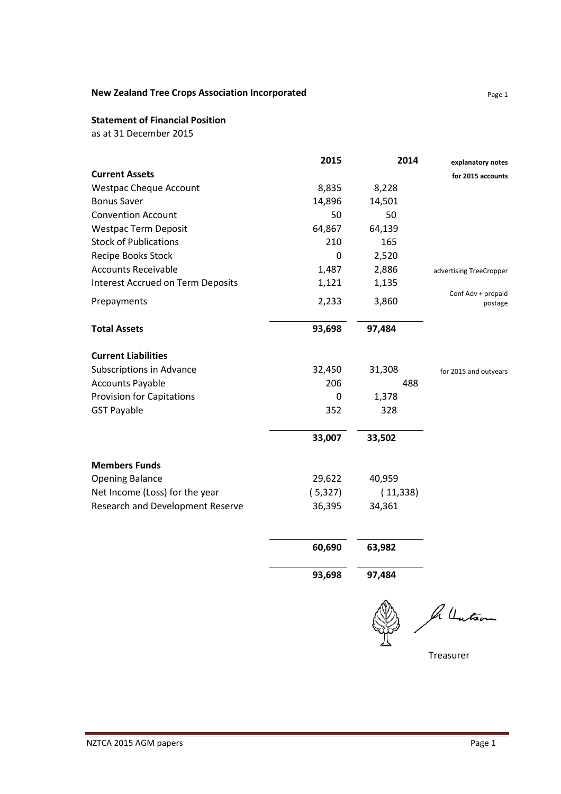# **New Zealand Tree Crops Association Incorporated** Page 1

#### **Statement of Financial Position**

as at 31 December 2015

| 2015    | 2014     | explanatory notes             |
|---------|----------|-------------------------------|
|         |          | for 2015 accounts             |
| 8,835   | 8,228    |                               |
| 14,896  | 14,501   |                               |
| 50      | 50       |                               |
| 64,867  | 64,139   |                               |
| 210     | 165      |                               |
| 0       | 2,520    |                               |
| 1,487   | 2,886    | advertising TreeCropper       |
| 1,121   | 1,135    |                               |
| 2,233   | 3,860    | Conf Adv + prepaid<br>postage |
| 93,698  | 97,484   |                               |
|         |          |                               |
| 32,450  | 31,308   | for 2015 and outyears         |
| 206     | 488      |                               |
| 0       | 1,378    |                               |
| 352     | 328      |                               |
| 33,007  | 33,502   |                               |
|         |          |                               |
| 29,622  | 40,959   |                               |
| (5,327) | (11,338) |                               |
| 36,395  | 34,361   |                               |
|         |          |                               |
|         | 60,690   | 63,982                        |

**93,698 97,484** 

In Unitson

Treasurer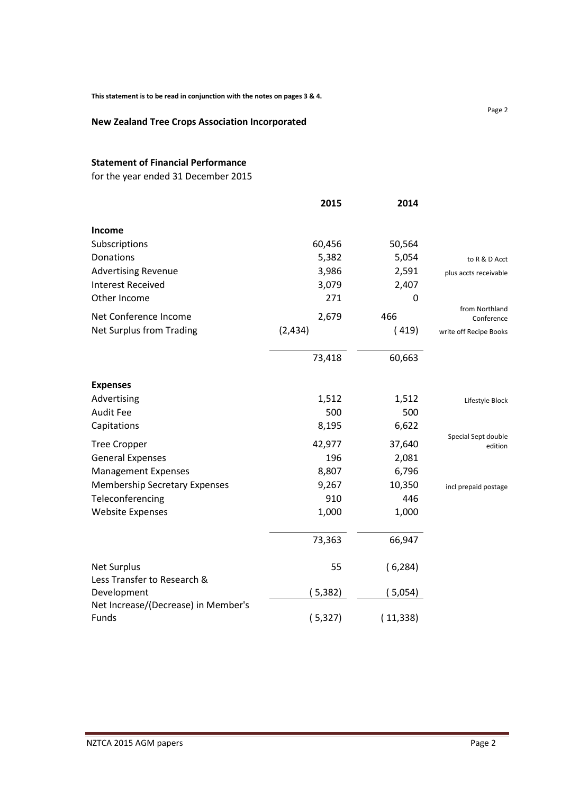#### **New Zealand Tree Crops Association Incorporated**

### **Statement of Financial Performance**

for the year ended 31 December 2015

|                                            | 2015    | 2014     |                                |
|--------------------------------------------|---------|----------|--------------------------------|
| Income                                     |         |          |                                |
| Subscriptions                              | 60,456  | 50,564   |                                |
| Donations                                  | 5,382   | 5,054    | to R & D Acct                  |
| <b>Advertising Revenue</b>                 | 3,986   | 2,591    | plus accts receivable          |
| <b>Interest Received</b>                   | 3,079   | 2,407    |                                |
| Other Income                               | 271     | 0        |                                |
| Net Conference Income                      | 2,679   | 466      | from Northland<br>Conference   |
| Net Surplus from Trading                   | (2,434) | (419)    | write off Recipe Books         |
|                                            | 73,418  | 60,663   |                                |
| <b>Expenses</b>                            |         |          |                                |
| Advertising                                | 1,512   | 1,512    | Lifestyle Block                |
| <b>Audit Fee</b>                           | 500     | 500      |                                |
| Capitations                                | 8,195   | 6,622    |                                |
| <b>Tree Cropper</b>                        | 42,977  | 37,640   | Special Sept double<br>edition |
| <b>General Expenses</b>                    | 196     | 2,081    |                                |
| <b>Management Expenses</b>                 | 8,807   | 6,796    |                                |
| <b>Membership Secretary Expenses</b>       | 9,267   | 10,350   | incl prepaid postage           |
| Teleconferencing                           | 910     | 446      |                                |
| <b>Website Expenses</b>                    | 1,000   | 1,000    |                                |
|                                            | 73,363  | 66,947   |                                |
| <b>Net Surplus</b>                         | 55      | (6, 284) |                                |
| Less Transfer to Research &<br>Development | (5,382) |          |                                |
| Net Increase/(Decrease) in Member's        |         | ( 5,054) |                                |
| Funds                                      | (5,327) | (11,338) |                                |

Page 2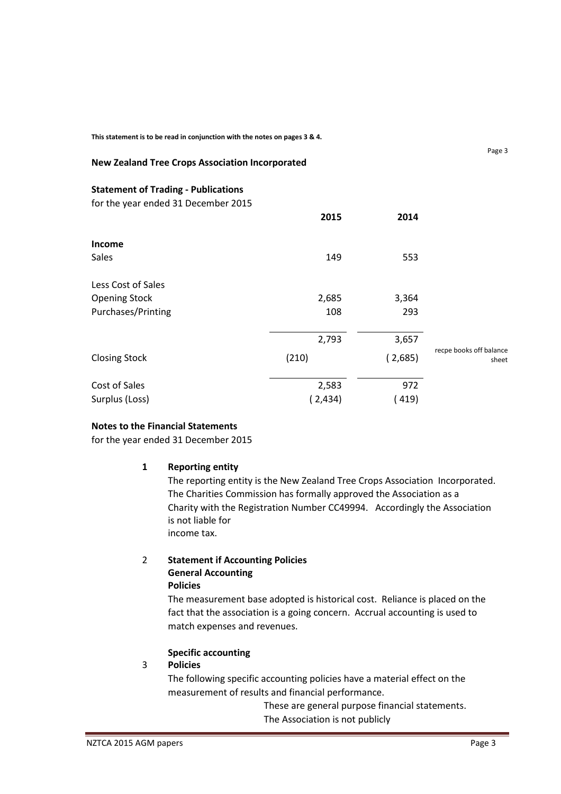**This statement is to be read in conjunction with the notes on pages 3 & 4.** 

#### **New Zealand Tree Crops Association Incorporated**

**Statement of Trading - Publications** 

for the year ended 31 December 2015

|                      | 2015    | 2014    |                                  |
|----------------------|---------|---------|----------------------------------|
| Income               |         |         |                                  |
| Sales                | 149     | 553     |                                  |
| Less Cost of Sales   |         |         |                                  |
| <b>Opening Stock</b> | 2,685   | 3,364   |                                  |
| Purchases/Printing   | 108     | 293     |                                  |
|                      | 2,793   | 3,657   |                                  |
| <b>Closing Stock</b> | (210)   | (2,685) | recpe books off balance<br>sheet |
| Cost of Sales        | 2,583   | 972     |                                  |
| Surplus (Loss)       | (2,434) | 419)    |                                  |

#### **Notes to the Financial Statements**

for the year ended 31 December 2015

#### **1 Reporting entity**

The reporting entity is the New Zealand Tree Crops Association Incorporated. The Charities Commission has formally approved the Association as a Charity with the Registration Number CC49994. Accordingly the Association is not liable for income tax.

#### 2 **Statement if Accounting Policies General Accounting Policies**

The measurement base adopted is historical cost. Reliance is placed on the fact that the association is a going concern. Accrual accounting is used to match expenses and revenues.

#### **Specific accounting**

#### 3 **Policies**

The following specific accounting policies have a material effect on the measurement of results and financial performance.

> These are general purpose financial statements. The Association is not publicly

Page 3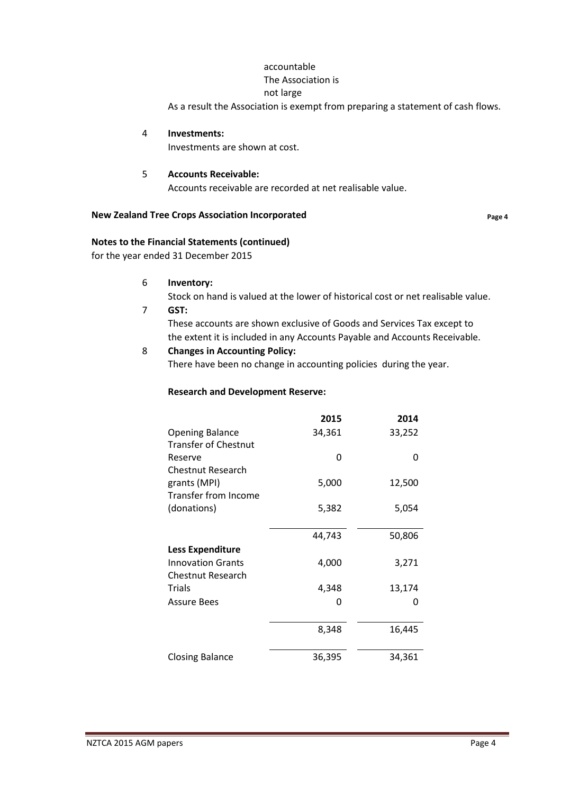# accountable

# The Association is

not large

As a result the Association is exempt from preparing a statement of cash flows.

4 **Investments:** 

Investments are shown at cost.

### 5 **Accounts Receivable:**

Accounts receivable are recorded at net realisable value.

### **New Zealand Tree Crops Association Incorporated Page 4**

# **Notes to the Financial Statements (continued)**

for the year ended 31 December 2015

- 6 **Inventory:**
- Stock on hand is valued at the lower of historical cost or net realisable value. 7 **GST:**

These accounts are shown exclusive of Goods and Services Tax except to the extent it is included in any Accounts Payable and Accounts Receivable.

# 8 **Changes in Accounting Policy:**

There have been no change in accounting policies during the year.

## **Research and Development Reserve:**

|                             | 2015   | 2014   |
|-----------------------------|--------|--------|
| <b>Opening Balance</b>      | 34,361 | 33,252 |
| <b>Transfer of Chestnut</b> |        |        |
| Reserve                     | O      | O      |
| Chestnut Research           |        |        |
| grants (MPI)                | 5,000  | 12,500 |
| <b>Transfer from Income</b> |        |        |
| (donations)                 | 5,382  | 5,054  |
|                             |        |        |
|                             | 44,743 | 50,806 |
| <b>Less Expenditure</b>     |        |        |
| <b>Innovation Grants</b>    | 4,000  | 3,271  |
| <b>Chestnut Research</b>    |        |        |
| <b>Trials</b>               | 4,348  | 13,174 |
| <b>Assure Bees</b>          | O      | O      |
|                             |        |        |
|                             | 8,348  | 16,445 |
|                             |        |        |
| Closing Balance             | 36,395 | 34,361 |